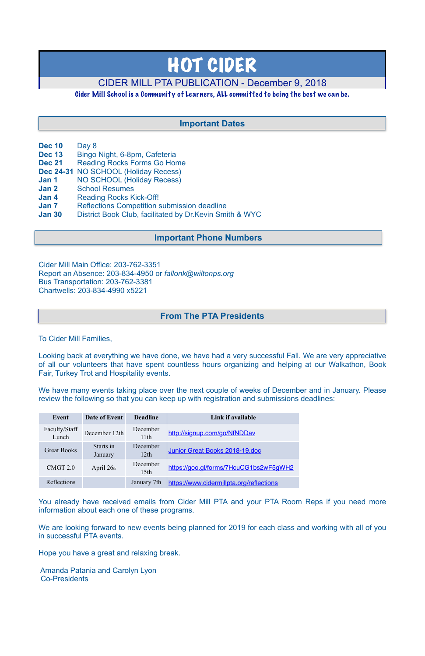- **Dec 10** Day 8
- **Dec 13** Bingo Night, 6-8pm, Cafeteria
- **Dec 21** Reading Rocks Forms Go Home
- **Dec 24-31** NO SCHOOL (Holiday Recess)
- **Jan 1** NO SCHOOL (Holiday Recess)
- **Jan 2** School Resumes
- **Jan 4** Reading Rocks Kick-Off!
- **Jan 7** Reflections Competition submission deadline
- **Jan 30** District Book Club, facilitated by Dr.Kevin Smith & WYC

Cider Mill Main Office: 203-762-3351 Report an Absence: 203-834-4950 or *[fallonk@wiltonps.org](mailto:fallonk@wiltonps.org)* Bus Transportation: 203-762-3381 Chartwells: 203-834-4990 x5221

To Cider Mill Families,

Looking back at everything we have done, we have had a very successful Fall. We are very appreciative of all our volunteers that have spent countless hours organizing and helping at our Walkathon, Book Fair, Turkey Trot and Hospitality events.

We have many events taking place over the next couple of weeks of December and in January. Please review the following so that you can keep up with registration and submissions deadlines:

You already have received emails from Cider Mill PTA and your PTA Room Reps if you need more information about each one of these programs.

We are looking forward to new events being planned for 2019 for each class and working with all of you in successful PTA events.

Hope you have a great and relaxing break.

 Amanda Patania and Carolyn Lyon Co-Presidents

# HOT CIDER

# CIDER MILL PTA PUBLICATION - December 9, 2018

## Cider Mill School is a Community of Learners, ALL committed to being the best we can be.

| Event                  | Date of Event        | <b>Deadline</b>              | Link if available                                                                                                                                                                                                                                                                                 |
|------------------------|----------------------|------------------------------|---------------------------------------------------------------------------------------------------------------------------------------------------------------------------------------------------------------------------------------------------------------------------------------------------|
| Faculty/Staff<br>Lunch | December 12th        | December<br>11th             | http://signup.com/go/NfNDDav                                                                                                                                                                                                                                                                      |
| <b>Great Books</b>     | Starts in<br>January | December<br>12th             | Junior Great Books 2018-19.doc                                                                                                                                                                                                                                                                    |
| CMGT <sub>2.0</sub>    | April $26th$         | December<br>15 <sup>th</sup> | https://goo.gl/forms/7HcuCG1bs2wF5gWH2                                                                                                                                                                                                                                                            |
| $D - A - L - L - L$    |                      |                              | $\mathbf{I}$ and an $\mathbf{Z}$ $\mathbf{I}$ and $\mathbf{I}$ and $\mathbf{I}$ are an $\mathbf{I}$ and $\mathbf{I}$ and $\mathbf{I}$ and $\mathbf{I}$ and $\mathbf{I}$ and $\mathbf{I}$ and $\mathbf{I}$ and $\mathbf{I}$ and $\mathbf{I}$ and $\mathbf{I}$ and $\mathbf{I}$ and $\mathbf{I}$ an |

# **From The PTA Presidents**

# **Important Dates**

# **Important Phone Numbers**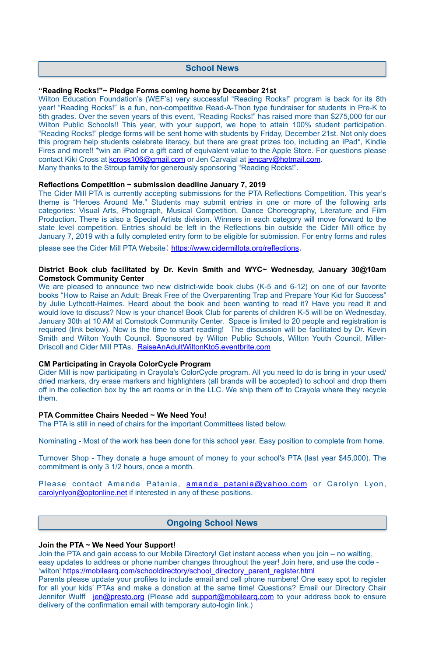#### **"Reading Rocks!"~ Pledge Forms coming home by December 21st**

Wilton Education Foundation's (WEF's) very successful "Reading Rocks!" program is back for its 8th year! "Reading Rocks!" is a fun, non-competitive Read-A-Thon type fundraiser for students in Pre-K to 5th grades. Over the seven years of this event, "Reading Rocks!" has raised more than \$275,000 for our Wilton Public Schools!! This year, with your support, we hope to attain 100% student participation. "Reading Rocks!" pledge forms will be sent home with students by [Friday, December 21st.](x-apple-data-detectors://13) Not only does this program help students celebrate literacy, but there are great prizes too, including an iPad\*, Kindle Fires and more!! \*win an iPad or a gift card of equivalent value to the Apple Store. For questions please contact Kiki Cross at [kcross106@gmail.com](mailto:kcross106@gmail.com) or Jen Carvajal at [jencarv@hotmail.com.](mailto:jencarv@hotmail.com) Many thanks to the Stroup family for generously sponsoring "Reading Rocks!".

#### **Reflections Competition ~ submission deadline January 7, 2019**

We are pleased to announce two new district-wide book clubs (K-5 and 6-12) on one of our favorite books "How to Raise an Adult: Break Free of the Overparenting Trap and Prepare Your Kid for Success" by Julie Lythcott-Haimes. Heard about the book and been wanting to read it? Have you read it and would love to discuss? Now is your chance! Book Club for parents of children K-5 will be [on Wednesday,](x-apple-data-detectors://0) [January 30th at 10 AM](x-apple-data-detectors://0) at Comstock Community Center. Space is limited to 20 people and registration is required (link below). Now is the time to start reading! The discussion will be facilitated by Dr. Kevin Smith and Wilton Youth Council. Sponsored by Wilton Public Schools, Wilton Youth Council, Miller-Driscoll and Cider Mill PTAs. [RaiseAnAdultWiltonKto5.eventbrite.com](http://raiseanadultwiltonkto5.eventbrite.com/)

The Cider Mill PTA is currently accepting submissions for the PTA Reflections Competition. This year's theme is "Heroes Around Me." Students may submit entries in one or more of the following arts categories: Visual Arts, Photograph, Musical Competition, Dance Choreography, Literature and Film Production. There is also a Special Artists division. Winners in each category will move forward to the state level competition. Entries should be left in the Reflections bin outside the Cider Mill office by [January 7, 2019](x-apple-data-detectors://7) with a fully completed entry form to be eligible for submission. For entry forms and rules

please see the Cider Mill PTA Website: <https://www.cidermillpta.org/reflections>.

#### **District Book club facilitated by Dr. Kevin Smith and WYC~ Wednesday, January 30@10am Comstock Community Center**

#### **CM Participating in Crayola ColorCycle Program**

Cider Mill is now participating in Crayola's ColorCycle program. All you need to do is bring in your used/ dried markers, dry erase markers and highlighters (all brands will be accepted) to school and drop them off in the collection box by the art rooms or in the LLC. We ship them off to Crayola where they recycle them.

#### **PTA Committee Chairs Needed ~ We Need You!**

The PTA is still in need of chairs for the important Committees listed below.

Nominating - Most of the work has been done for this school year. Easy position to complete from home.

Turnover Shop - They donate a huge amount of money to your school's PTA (last year \$45,000). The commitment is only 3 1/2 hours, once a month.

Please contact Amanda Patania, <u>amanda patania@yahoo.com</u> or Carolyn Lyon, [carolynlyon@optonline.net](mailto:carolynlyon@optonline.net) if interested in any of these positions.

#### **Join the PTA ~ We Need Your Support!**

Join the PTA and gain access to our Mobile Directory! Get instant access when you join – no waiting, easy updates to address or phone number changes throughout the year! Join here, and use the code - 'wilton' [https://mobilearq.com/schooldirectory/school\\_directory\\_parent\\_register.html](https://mobilearq.com/schooldirectory/school_directory_parent_register.html)  Parents please update your profiles to include email and cell phone numbers! One easy spot to register for all your kids' PTAs and make a donation at the same time! Questions? Email our Directory Chair Jennifer Wulff [jen@presto.org](mailto:jen@presto.org) (Please add support@mobilearg.com to your address book to ensure delivery of the confirmation email with temporary auto-login link.)

## **School News**

# **Ongoing School News**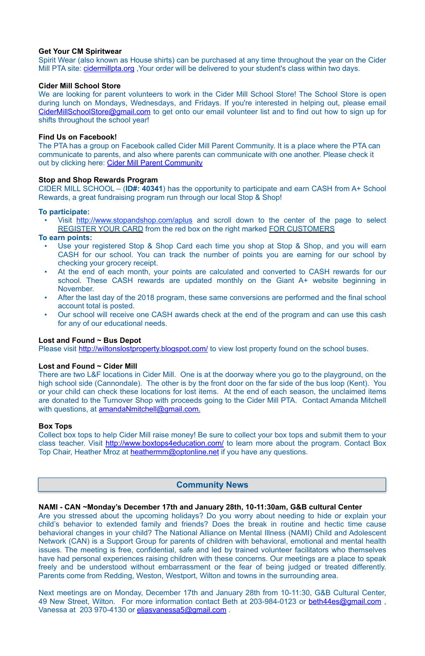#### **Get Your CM Spiritwear**

Spirit Wear (also known as House shirts) can be purchased at any time throughout the year on the Cider Mill PTA site: cidermillpta.org, Your order will be delivered to your student's class within two days.

#### **Cider Mill School Store**

We are looking for parent volunteers to work in the Cider Mill School Store! The School Store is open during lunch on Mondays, Wednesdays, and Fridays. If you're interested in helping out, please email [CiderMillSchoolStore@gmail.com](mailto:CiderMillSchoolStore@gmail.com) to get onto our email volunteer list and to find out how to sign up for shifts throughout the school year!

The PTA has a group on Facebook called Cider Mill Parent Community. It is a place where the PTA can communicate to parents, and also where parents can communicate with one another. Please check it out by clicking here: [Cider Mill Parent Community](https://www.facebook.com/groups/1168962513117647/)

## **Find Us on Facebook!**

Visit <http://www.stopandshop.com/aplus>and scroll down to the center of the page to select REGISTER YOUR CARD from the red box on the right marked FOR CUSTOMERS

#### **Stop and Shop Rewards Program**

- Use your registered Stop & Shop Card each time you shop at Stop & Shop, and you will earn CASH for our school. You can track the number of points you are earning for our school by checking your grocery receipt.
- At the end of each month, your points are calculated and converted to CASH rewards for our school. These CASH rewards are updated monthly on the Giant A+ website beginning in November.
- After the last day of the 2018 program, these same conversions are performed and the final school account total is posted.
- Our school will receive one CASH awards check at the end of the program and can use this cash for any of our educational needs.

CIDER MILL SCHOOL – (**ID#: 40341**) has the opportunity to participate and earn CASH from A+ School Rewards, a great fundraising program run through our local Stop & Shop!

There are two L&F locations in Cider Mill. One is at the doorway where you go to the playground, on the high school side (Cannondale). The other is by the front door on the far side of the bus loop (Kent). You or your child can check these locations for lost items. At the end of each season, the unclaimed items are donated to the Turnover Shop with proceeds going to the Cider Mill PTA. Contact Amanda Mitchell with questions, at [amandaNmitchell@gmail.com](mailto:amandaNmitchell@gmail.com).

#### **To participate:**

#### **To earn points:**

Collect box tops to help Cider Mill raise money! Be sure to collect your box tops and submit them to your class teacher. Visit <http://www.boxtops4education.com/> to learn more about the program. Contact Box Top Chair, Heather Mroz at [heathermm@optonline.net](mailto:heathermm@optonline.net) if you have any questions.

Next meetings are on Monday, [December 17th](x-apple-data-detectors://3) and [January 28th from 10-11:30,](x-apple-data-detectors://4) G&B Cultural Center, 49 New Street, Wilton. For more information contact Beth at 203-984-0123 or beth44es@gmail.com, Vanessa at 203 970-4130 or [eliasvanessa5@gmail.com](mailto:eliasvanessa5@gmail.com).

## **Lost and Found ~ Bus Depot**

Please visit <http://wiltonslostproperty.blogspot.com/>to view lost property found on the school buses.

## **Lost and Found ~ Cider Mill**

#### **Box Tops**

**NAMI - CAN ~Monday's December 17th and January 28th, 10-11:30am, G&B cultural Center**  Are you stressed about the upcoming holidays? Do you worry about needing to hide or explain your child's behavior to extended family and friends? Does the break in routine and hectic time cause behavioral changes in your child? The National Alliance on Mental Illness (NAMI) Child and Adolescent Network (CAN) is a Support Group for parents of children with behavioral, emotional and mental health issues. The meeting is free, confidential, safe and led by trained volunteer facilitators who themselves have had personal experiences raising children with these concerns. Our meetings are a place to speak freely and be understood without embarrassment or the fear of being judged or treated differently. Parents come from Redding, Weston, Westport, Wilton and towns in the surrounding area.

#### **Community News**